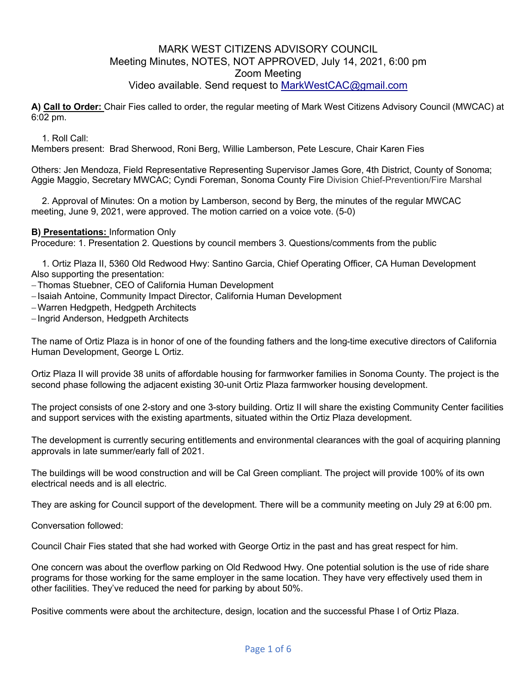## MARK WEST CITIZENS ADVISORY COUNCIL Meeting Minutes, NOTES, NOT APPROVED, July 14, 2021, 6:00 pm Zoom Meeting Video available. Send request to MarkWestCAC@gmail.com

**A) Call to Order:** Chair Fies called to order, the regular meeting of Mark West Citizens Advisory Council (MWCAC) at 6:02 pm.

#### 1. Roll Call:

Members present: Brad Sherwood, Roni Berg, Willie Lamberson, Pete Lescure, Chair Karen Fies

Others: Jen Mendoza, Field Representative Representing Supervisor James Gore, 4th District, County of Sonoma; Aggie Maggio, Secretary MWCAC; Cyndi Foreman, Sonoma County Fire Division Chief-Prevention/Fire Marshal

2. Approval of Minutes: On a motion by Lamberson, second by Berg, the minutes of the regular MWCAC meeting, June 9, 2021, were approved. The motion carried on a voice vote. (5-0)

#### **B) Presentations:** Information Only

Procedure: 1. Presentation 2. Questions by council members 3. Questions/comments from the public

1. Ortiz Plaza II, 5360 Old Redwood Hwy: Santino Garcia, Chief Operating Officer, CA Human Development Also supporting the presentation:

-Thomas Stuebner, CEO of California Human Development

- -Isaiah Antoine, Community Impact Director, California Human Development
- -Warren Hedgpeth, Hedgpeth Architects

-Ingrid Anderson, Hedgpeth Architects

The name of Ortiz Plaza is in honor of one of the founding fathers and the long-time executive directors of California Human Development, George L Ortiz.

Ortiz Plaza II will provide 38 units of affordable housing for farmworker families in Sonoma County. The project is the second phase following the adjacent existing 30-unit Ortiz Plaza farmworker housing development.

The project consists of one 2-story and one 3-story building. Ortiz II will share the existing Community Center facilities and support services with the existing apartments, situated within the Ortiz Plaza development.

The development is currently securing entitlements and environmental clearances with the goal of acquiring planning approvals in late summer/early fall of 2021.

The buildings will be wood construction and will be Cal Green compliant. The project will provide 100% of its own electrical needs and is all electric.

They are asking for Council support of the development. There will be a community meeting on July 29 at 6:00 pm.

Conversation followed:

Council Chair Fies stated that she had worked with George Ortiz in the past and has great respect for him.

One concern was about the overflow parking on Old Redwood Hwy. One potential solution is the use of ride share programs for those working for the same employer in the same location. They have very effectively used them in other facilities. They've reduced the need for parking by about 50%.

Positive comments were about the architecture, design, location and the successful Phase I of Ortiz Plaza.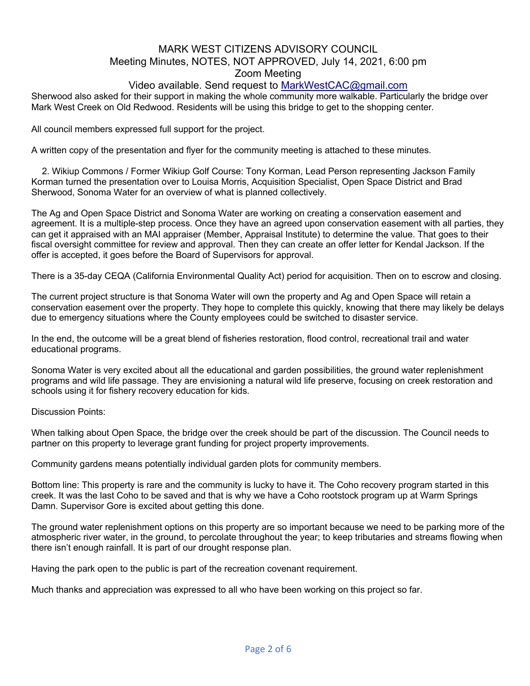# MARK WEST CITIZENS ADVISORY COUNCIL Meeting Minutes, NOTES, NOT APPROVED, July 14, 2021, 6:00 pm Zoom Meeting

## Video available. Send request to MarkWestCAC@gmail.com

Sherwood also asked for their support in making the whole community more walkable. Particularly the bridge over Mark West Creek on Old Redwood. Residents will be using this bridge to get to the shopping center.

All council members expressed full support for the project.

A written copy of the presentation and flyer for the community meeting is attached to these minutes.

2. Wikiup Commons / Former Wikiup Golf Course: Tony Korman, Lead Person representing Jackson Family Korman turned the presentation over to Louisa Morris, Acquisition Specialist, Open Space District and Brad Sherwood, Sonoma Water for an overview of what is planned collectively.

The Ag and Open Space District and Sonoma Water are working on creating a conservation easement and agreement. It is a multiple-step process. Once they have an agreed upon conservation easement with all parties, they can get it appraised with an MAI appraiser (Member, Appraisal Institute) to determine the value. That goes to their fiscal oversight committee for review and approval. Then they can create an offer letter for Kendal Jackson. If the offer is accepted, it goes before the Board of Supervisors for approval.

There is a 35-day CEQA (California Environmental Quality Act) period for acquisition. Then on to escrow and closing.

The current project structure is that Sonoma Water will own the property and Ag and Open Space will retain a conservation easement over the property. They hope to complete this quickly, knowing that there may likely be delays due to emergency situations where the County employees could be switched to disaster service.

In the end, the outcome will be a great blend of fisheries restoration, flood control, recreational trail and water educational programs.

Sonoma Water is very excited about all the educational and garden possibilities, the ground water replenishment programs and wild life passage. They are envisioning a natural wild life preserve, focusing on creek restoration and schools using it for fishery recovery education for kids.

Discussion Points:

When talking about Open Space, the bridge over the creek should be part of the discussion. The Council needs to partner on this property to leverage grant funding for project property improvements.

Community gardens means potentially individual garden plots for community members.

Bottom line: This property is rare and the community is lucky to have it. The Coho recovery program started in this creek. It was the last Coho to be saved and that is why we have a Coho rootstock program up at Warm Springs Damn. Supervisor Gore is excited about getting this done.

The ground water replenishment options on this property are so important because we need to be parking more of the atmospheric river water, in the ground, to percolate throughout the year; to keep tributaries and streams flowing when there isn't enough rainfall. It is part of our drought response plan.

Having the park open to the public is part of the recreation covenant requirement.

Much thanks and appreciation was expressed to all who have been working on this project so far.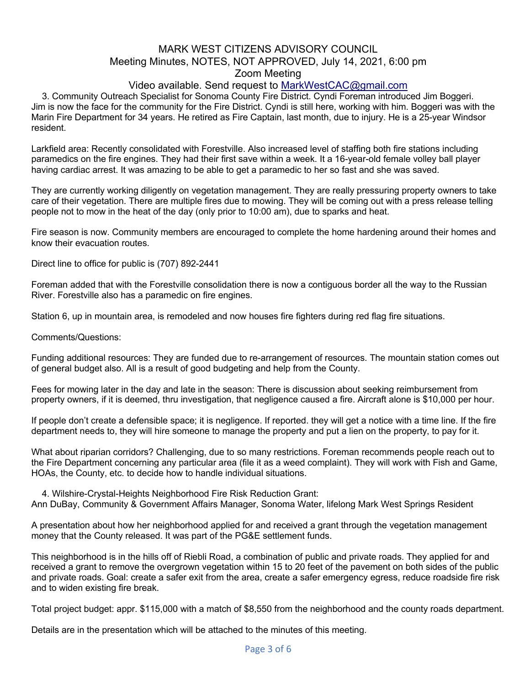### MARK WEST CITIZENS ADVISORY COUNCIL Meeting Minutes, NOTES, NOT APPROVED, July 14, 2021, 6:00 pm Zoom Meeting

## Video available. Send request to MarkWestCAC@gmail.com

3. Community Outreach Specialist for Sonoma County Fire District. Cyndi Foreman introduced Jim Boggeri. Jim is now the face for the community for the Fire District. Cyndi is still here, working with him. Boggeri was with the Marin Fire Department for 34 years. He retired as Fire Captain, last month, due to injury. He is a 25-year Windsor resident.

Larkfield area: Recently consolidated with Forestville. Also increased level of staffing both fire stations including paramedics on the fire engines. They had their first save within a week. It a 16-year-old female volley ball player having cardiac arrest. It was amazing to be able to get a paramedic to her so fast and she was saved.

They are currently working diligently on vegetation management. They are really pressuring property owners to take care of their vegetation. There are multiple fires due to mowing. They will be coming out with a press release telling people not to mow in the heat of the day (only prior to 10:00 am), due to sparks and heat.

Fire season is now. Community members are encouraged to complete the home hardening around their homes and know their evacuation routes.

Direct line to office for public is (707) 892-2441

Foreman added that with the Forestville consolidation there is now a contiguous border all the way to the Russian River. Forestville also has a paramedic on fire engines.

Station 6, up in mountain area, is remodeled and now houses fire fighters during red flag fire situations.

Comments/Questions:

Funding additional resources: They are funded due to re-arrangement of resources. The mountain station comes out of general budget also. All is a result of good budgeting and help from the County.

Fees for mowing later in the day and late in the season: There is discussion about seeking reimbursement from property owners, if it is deemed, thru investigation, that negligence caused a fire. Aircraft alone is \$10,000 per hour.

If people don't create a defensible space; it is negligence. If reported. they will get a notice with a time line. If the fire department needs to, they will hire someone to manage the property and put a lien on the property, to pay for it.

What about riparian corridors? Challenging, due to so many restrictions. Foreman recommends people reach out to the Fire Department concerning any particular area (file it as a weed complaint). They will work with Fish and Game, HOAs, the County, etc. to decide how to handle individual situations.

4. Wilshire-Crystal-Heights Neighborhood Fire Risk Reduction Grant:

Ann DuBay, Community & Government Affairs Manager, Sonoma Water, lifelong Mark West Springs Resident

A presentation about how her neighborhood applied for and received a grant through the vegetation management money that the County released. It was part of the PG&E settlement funds.

This neighborhood is in the hills off of Riebli Road, a combination of public and private roads. They applied for and received a grant to remove the overgrown vegetation within 15 to 20 feet of the pavement on both sides of the public and private roads. Goal: create a safer exit from the area, create a safer emergency egress, reduce roadside fire risk and to widen existing fire break.

Total project budget: appr. \$115,000 with a match of \$8,550 from the neighborhood and the county roads department.

Details are in the presentation which will be attached to the minutes of this meeting.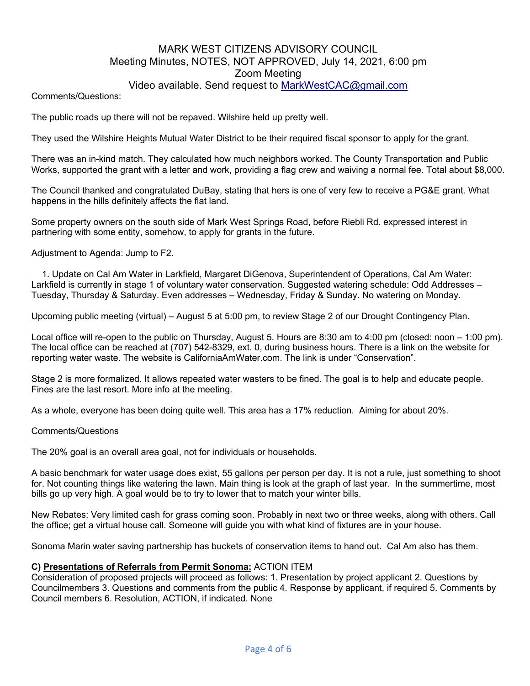### MARK WEST CITIZENS ADVISORY COUNCIL Meeting Minutes, NOTES, NOT APPROVED, July 14, 2021, 6:00 pm Zoom Meeting Video available. Send request to MarkWestCAC@gmail.com

Comments/Questions:

The public roads up there will not be repaved. Wilshire held up pretty well.

They used the Wilshire Heights Mutual Water District to be their required fiscal sponsor to apply for the grant.

There was an in-kind match. They calculated how much neighbors worked. The County Transportation and Public Works, supported the grant with a letter and work, providing a flag crew and waiving a normal fee. Total about \$8,000.

The Council thanked and congratulated DuBay, stating that hers is one of very few to receive a PG&E grant. What happens in the hills definitely affects the flat land.

Some property owners on the south side of Mark West Springs Road, before Riebli Rd. expressed interest in partnering with some entity, somehow, to apply for grants in the future.

Adjustment to Agenda: Jump to F2.

1. Update on Cal Am Water in Larkfield, Margaret DiGenova, Superintendent of Operations, Cal Am Water: Larkfield is currently in stage 1 of voluntary water conservation. Suggested watering schedule: Odd Addresses – Tuesday, Thursday & Saturday. Even addresses – Wednesday, Friday & Sunday. No watering on Monday.

Upcoming public meeting (virtual) – August 5 at 5:00 pm, to review Stage 2 of our Drought Contingency Plan.

Local office will re-open to the public on Thursday, August 5. Hours are 8:30 am to 4:00 pm (closed: noon – 1:00 pm). The local office can be reached at (707) 542-8329, ext. 0, during business hours. There is a link on the website for reporting water waste. The website is CaliforniaAmWater.com. The link is under "Conservation".

Stage 2 is more formalized. It allows repeated water wasters to be fined. The goal is to help and educate people. Fines are the last resort. More info at the meeting.

As a whole, everyone has been doing quite well. This area has a 17% reduction. Aiming for about 20%.

#### Comments/Questions

The 20% goal is an overall area goal, not for individuals or households.

A basic benchmark for water usage does exist, 55 gallons per person per day. It is not a rule, just something to shoot for. Not counting things like watering the lawn. Main thing is look at the graph of last year. In the summertime, most bills go up very high. A goal would be to try to lower that to match your winter bills.

New Rebates: Very limited cash for grass coming soon. Probably in next two or three weeks, along with others. Call the office; get a virtual house call. Someone will guide you with what kind of fixtures are in your house.

Sonoma Marin water saving partnership has buckets of conservation items to hand out. Cal Am also has them.

#### **C) Presentations of Referrals from Permit Sonoma:** ACTION ITEM

Consideration of proposed projects will proceed as follows: 1. Presentation by project applicant 2. Questions by Councilmembers 3. Questions and comments from the public 4. Response by applicant, if required 5. Comments by Council members 6. Resolution, ACTION, if indicated. None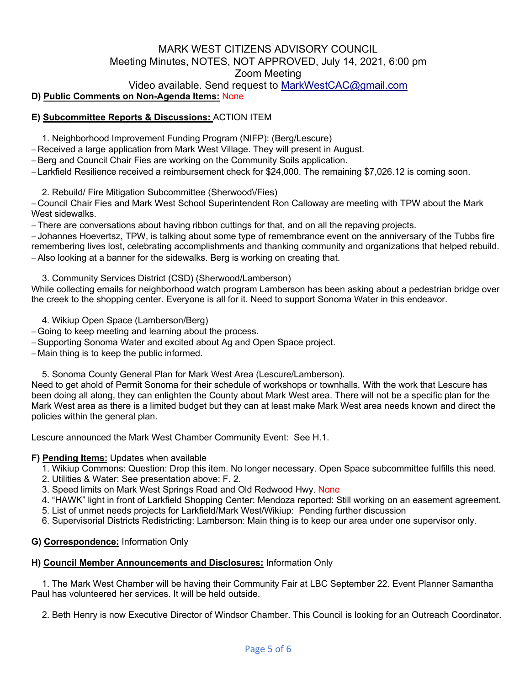## MARK WEST CITIZENS ADVISORY COUNCIL Meeting Minutes, NOTES, NOT APPROVED, July 14, 2021, 6:00 pm Zoom Meeting Video available. Send request to MarkWestCAC@gmail.com

### **D) Public Comments on Non-Agenda Items:** None

### **E) Subcommittee Reports & Discussions:** ACTION ITEM

1. Neighborhood Improvement Funding Program (NIFP): (Berg/Lescure)

-Received a large application from Mark West Village. They will present in August.

-Berg and Council Chair Fies are working on the Community Soils application.

-Larkfield Resilience received a reimbursement check for \$24,000. The remaining \$7,026.12 is coming soon.

2. Rebuild/ Fire Mitigation Subcommittee (Sherwood\/Fies)

-Council Chair Fies and Mark West School Superintendent Ron Calloway are meeting with TPW about the Mark West sidewalks.

-There are conversations about having ribbon cuttings for that, and on all the repaving projects.

-Johannes Hoevertsz, TPW, is talking about some type of remembrance event on the anniversary of the Tubbs fire remembering lives lost, celebrating accomplishments and thanking community and organizations that helped rebuild. -Also looking at a banner for the sidewalks. Berg is working on creating that.

3. Community Services District (CSD) (Sherwood/Lamberson)

While collecting emails for neighborhood watch program Lamberson has been asking about a pedestrian bridge over the creek to the shopping center. Everyone is all for it. Need to support Sonoma Water in this endeavor.

4. Wikiup Open Space (Lamberson/Berg)

-Going to keep meeting and learning about the process.

-Supporting Sonoma Water and excited about Ag and Open Space project.

-Main thing is to keep the public informed.

5. Sonoma County General Plan for Mark West Area (Lescure/Lamberson).

Need to get ahold of Permit Sonoma for their schedule of workshops or townhalls. With the work that Lescure has been doing all along, they can enlighten the County about Mark West area. There will not be a specific plan for the Mark West area as there is a limited budget but they can at least make Mark West area needs known and direct the policies within the general plan.

Lescure announced the Mark West Chamber Community Event: See H.1.

#### **F) Pending Items:** Updates when available

- 1. Wikiup Commons: Question: Drop this item. No longer necessary. Open Space subcommittee fulfills this need.
- 2. Utilities & Water: See presentation above: F. 2.
- 3. Speed limits on Mark West Springs Road and Old Redwood Hwy. None
- 4. "HAWK" light in front of Larkfield Shopping Center: Mendoza reported: Still working on an easement agreement.
- 5. List of unmet needs projects for Larkfield/Mark West/Wikiup: Pending further discussion
- 6. Supervisorial Districts Redistricting: Lamberson: Main thing is to keep our area under one supervisor only.

#### **G) Correspondence:** Information Only

#### **H) Council Member Announcements and Disclosures:** Information Only

1. The Mark West Chamber will be having their Community Fair at LBC September 22. Event Planner Samantha Paul has volunteered her services. It will be held outside.

2. Beth Henry is now Executive Director of Windsor Chamber. This Council is looking for an Outreach Coordinator.